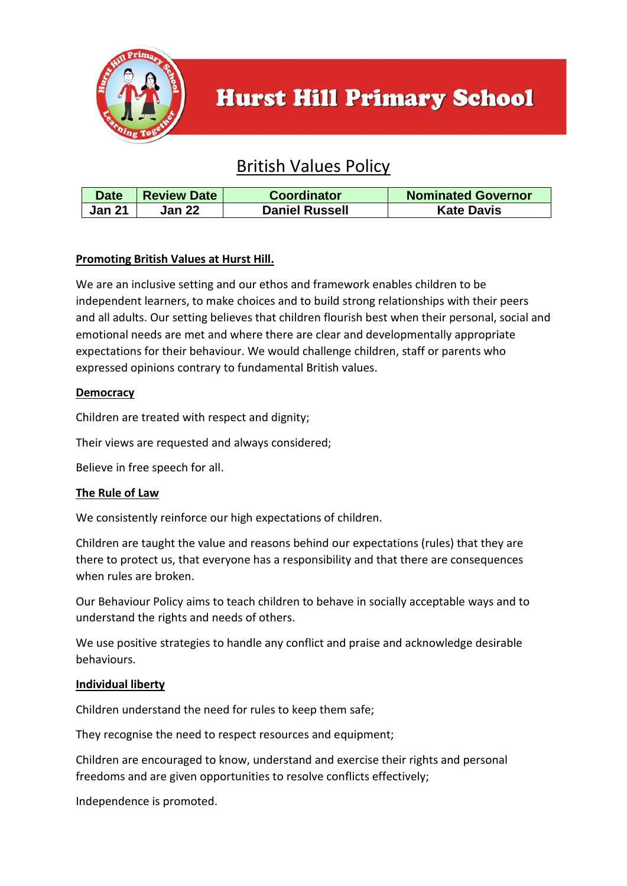

# **Hurst Hill Primary School**

# British Values Policy

| <b>Date</b>   | <b>Review Date</b> | Coordinator           | <b>Nominated Governor</b> |
|---------------|--------------------|-----------------------|---------------------------|
| <b>Jan 21</b> | Jan 22             | <b>Daniel Russell</b> | <b>Kate Davis</b>         |

# **Promoting British Values at Hurst Hill.**

We are an inclusive setting and our ethos and framework enables children to be independent learners, to make choices and to build strong relationships with their peers and all adults. Our setting believes that children flourish best when their personal, social and emotional needs are met and where there are clear and developmentally appropriate expectations for their behaviour. We would challenge children, staff or parents who expressed opinions contrary to fundamental British values.

# **Democracy**

Children are treated with respect and dignity;

Their views are requested and always considered;

Believe in free speech for all.

#### **The Rule of Law**

We consistently reinforce our high expectations of children.

Children are taught the value and reasons behind our expectations (rules) that they are there to protect us, that everyone has a responsibility and that there are consequences when rules are broken.

Our Behaviour Policy aims to teach children to behave in socially acceptable ways and to understand the rights and needs of others.

We use positive strategies to handle any conflict and praise and acknowledge desirable behaviours.

#### **Individual liberty**

Children understand the need for rules to keep them safe;

They recognise the need to respect resources and equipment;

Children are encouraged to know, understand and exercise their rights and personal freedoms and are given opportunities to resolve conflicts effectively;

Independence is promoted.